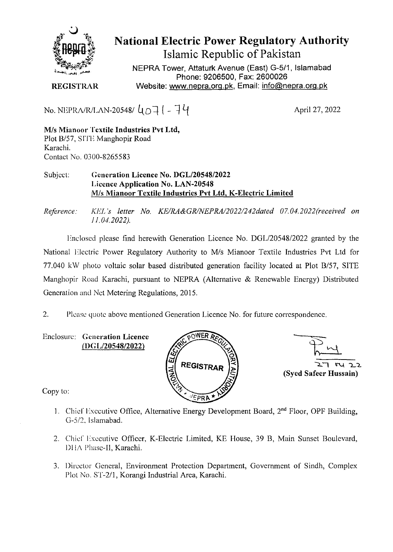

**National Electric Power Regulatory Authority Islamic Republic of Pakistan** 

**NEPRA Tower, Attaturk Avenue (East) G-5/1, Islamabad Phone: 9206500, Fax: 2600026**  Website: www.nepra.org.pk, Email: info@nepra.org.pk

**REGISTRAR** 

No. NEPRA/R/LAN-20548/ $\mu_{\Omega}$  | - 74

April 27, 2022

**M/s Mianoor Textile Industries Pvt Ltd,**  Plot B/57, SITE Manghopir Road Karachi. Contact No. 0300-8265583

## Subject: **Generation Licence No.** *DGL12054812022*  **Licence Application No. LAN-20548 M/s Mianoor Textile Industries Pvt Ltd. K-Electric Limited**

*Reference: KEL 's letter No. KE/RA&GR/NEPRA/2022/242dated 07.04. 2022(received on 11.04.2022).* 

Enclosed please find herewith Generation Licence No. DGL/20548/2022 granted by the National Electric Power Regulatory Authority to M/s Mianoor Textile Industries Pvt Ltd for 77.040 kW photo voltaic solar based distributed generation facility located at Plot B/57, SITE Manghopir Road Karachi, pursuant to NEPRA (Alternative & Renewable Energy) Distributed Generation and Net Metering Regulations, 2015.

2. Please quote above mentioned Generation Licence No. for future correspondence.

Enclosure: **Generation Licence (I)G** *L120548/2022)* 





Copy to:

- 1. Chief Executive Office, Alternative Energy Development Board,  $2<sup>nd</sup>$  Floor, OPF Building, G-5/2, Islamabad.
- 2. Chief Executive Officer, K-Electric Limited, KE House, 39 B, Main Sunset Boulevard, DHA Phase-II, Karachi.
- 3. Director General, Environment Protection Department, Government of Sindh, Complex Plot No. *ST-2/l,* Korangi Industrial Area, Karachi.